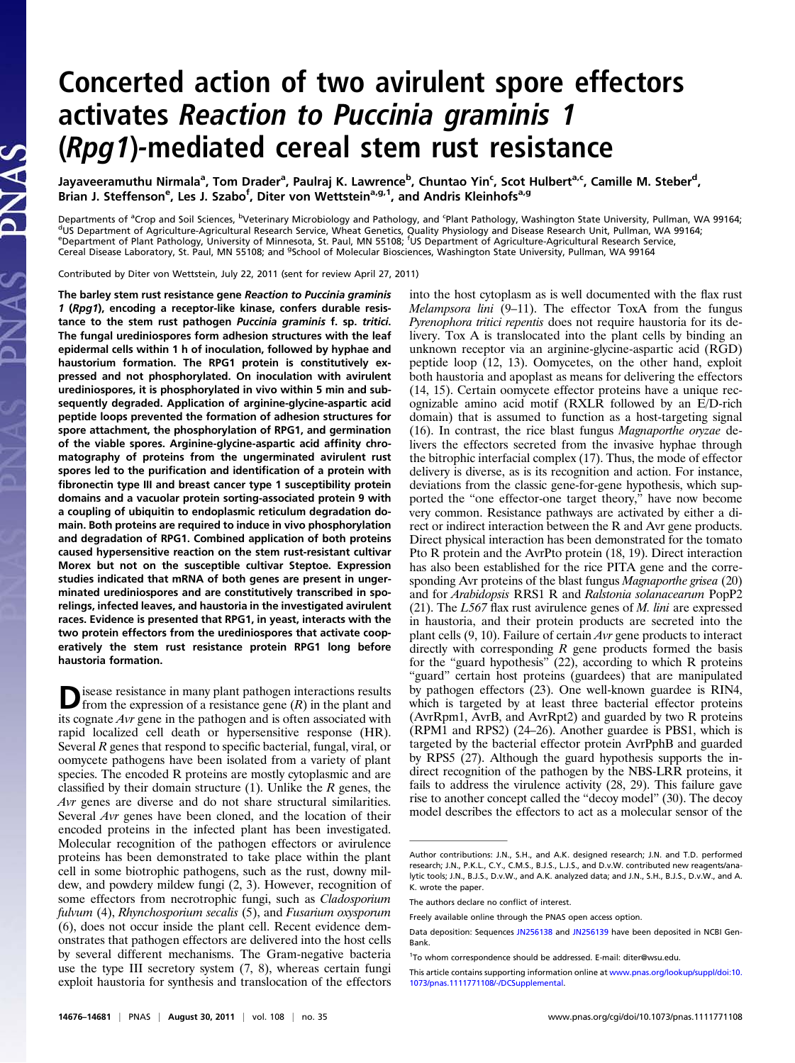# Concerted action of two avirulent spore effectors activates Reaction to Puccinia graminis 1 (Rpg1)-mediated cereal stem rust resistance

Jayaveeramuthu Nirmala<sup>a</sup>, Tom Drader<sup>a</sup>, Paulraj K. Lawrence<sup>b</sup>, Chuntao Yin<sup>c</sup>, Scot Hulbert<sup>a,c</sup>, Camille M. Steber<sup>d</sup>, Brian J. Steffenson<sup>e</sup>, Les J. Szabo<sup>f</sup>, Diter von Wettstein<sup>a,g,1</sup>, and Andris Kleinhofs<sup>a,g</sup>

Departments of <sup>a</sup>Crop and Soil Sciences, <sup>b</sup>Veterinary Microbiology and Pathology, and <sup>c</sup> Departments of ªCrop and Soil Sciences, <sup>p</sup>Veterinary Microbiology and Pathology, and ʿPlant Pathology, Washington State University, Pullman, WA 99164;<br><sup>d</sup>US Department of Agriculture-Agricultural Research Service, Wheat G Cereal Disease Laboratory, St. Paul, MN 55108; and <sup>9</sup>School of Molecular Biosciences, Washington State University, Pullman, WA 99164

Contributed by Diter von Wettstein, July 22, 2011 (sent for review April 27, 2011)

The barley stem rust resistance gene Reaction to Puccinia graminis 1 (Rpg1), encoding a receptor-like kinase, confers durable resistance to the stem rust pathogen Puccinia graminis f. sp. tritici. The fungal urediniospores form adhesion structures with the leaf epidermal cells within 1 h of inoculation, followed by hyphae and haustorium formation. The RPG1 protein is constitutively expressed and not phosphorylated. On inoculation with avirulent urediniospores, it is phosphorylated in vivo within 5 min and subsequently degraded. Application of arginine-glycine-aspartic acid peptide loops prevented the formation of adhesion structures for spore attachment, the phosphorylation of RPG1, and germination of the viable spores. Arginine-glycine-aspartic acid affinity chromatography of proteins from the ungerminated avirulent rust spores led to the purification and identification of a protein with fibronectin type III and breast cancer type 1 susceptibility protein domains and a vacuolar protein sorting-associated protein 9 with a coupling of ubiquitin to endoplasmic reticulum degradation domain. Both proteins are required to induce in vivo phosphorylation and degradation of RPG1. Combined application of both proteins caused hypersensitive reaction on the stem rust-resistant cultivar Morex but not on the susceptible cultivar Steptoe. Expression studies indicated that mRNA of both genes are present in ungerminated urediniospores and are constitutively transcribed in sporelings, infected leaves, and haustoria in the investigated avirulent races. Evidence is presented that RPG1, in yeast, interacts with the two protein effectors from the urediniospores that activate cooperatively the stem rust resistance protein RPG1 long before haustoria formation.

 $\sum$  is<br>ease resistance in many plant pathogen interactions results from the expression of a resistance gene<br> $(R)$  in the plant and its cognate Avr gene in the pathogen and is often associated with rapid localized cell death or hypersensitive response (HR). Several R genes that respond to specific bacterial, fungal, viral, or oomycete pathogens have been isolated from a variety of plant species. The encoded R proteins are mostly cytoplasmic and are classified by their domain structure  $(1)$ . Unlike the R genes, the Avr genes are diverse and do not share structural similarities. Several Avr genes have been cloned, and the location of their encoded proteins in the infected plant has been investigated. Molecular recognition of the pathogen effectors or avirulence proteins has been demonstrated to take place within the plant cell in some biotrophic pathogens, such as the rust, downy mildew, and powdery mildew fungi (2, 3). However, recognition of some effectors from necrotrophic fungi, such as Cladosporium fulvum (4), Rhynchosporium secalis (5), and Fusarium oxysporum (6), does not occur inside the plant cell. Recent evidence demonstrates that pathogen effectors are delivered into the host cells by several different mechanisms. The Gram-negative bacteria use the type III secretory system (7, 8), whereas certain fungi exploit haustoria for synthesis and translocation of the effectors into the host cytoplasm as is well documented with the flax rust *Melampsora lini*  $(9-11)$ . The effector ToxA from the fungus Pyrenophora tritici repentis does not require haustoria for its delivery. Tox A is translocated into the plant cells by binding an unknown receptor via an arginine-glycine-aspartic acid (RGD) peptide loop (12, 13). Oomycetes, on the other hand, exploit both haustoria and apoplast as means for delivering the effectors (14, 15). Certain oomycete effector proteins have a unique recognizable amino acid motif (RXLR followed by an E/D-rich domain) that is assumed to function as a host-targeting signal (16). In contrast, the rice blast fungus Magnaporthe oryzae delivers the effectors secreted from the invasive hyphae through the bitrophic interfacial complex (17). Thus, the mode of effector delivery is diverse, as is its recognition and action. For instance, deviations from the classic gene-for-gene hypothesis, which supported the "one effector-one target theory," have now become very common. Resistance pathways are activated by either a direct or indirect interaction between the R and Avr gene products. Direct physical interaction has been demonstrated for the tomato Pto R protein and the AvrPto protein (18, 19). Direct interaction has also been established for the rice PITA gene and the corresponding Avr proteins of the blast fungus Magnaporthe grisea (20) and for Arabidopsis RRS1 R and Ralstonia solanacearum PopP2 (21). The  $L_{567}$  flax rust avirulence genes of *M. lini* are expressed in haustoria, and their protein products are secreted into the plant cells (9, 10). Failure of certain Avr gene products to interact directly with corresponding  $R$  gene products formed the basis for the "guard hypothesis"  $(22)$ , according to which R proteins "guard" certain host proteins (guardees) that are manipulated by pathogen effectors (23). One well-known guardee is RIN4, which is targeted by at least three bacterial effector proteins (AvrRpm1, AvrB, and AvrRpt2) and guarded by two R proteins (RPM1 and RPS2) (24–26). Another guardee is PBS1, which is targeted by the bacterial effector protein AvrPphB and guarded by RPS5 (27). Although the guard hypothesis supports the indirect recognition of the pathogen by the NBS-LRR proteins, it fails to address the virulence activity (28, 29). This failure gave rise to another concept called the "decoy model" (30). The decoy model describes the effectors to act as a molecular sensor of the

The authors declare no conflict of interest.

Author contributions: J.N., S.H., and A.K. designed research; J.N. and T.D. performed research; J.N., P.K.L., C.Y., C.M.S., B.J.S., L.J.S., and D.v.W. contributed new reagents/analytic tools; J.N., B.J.S., D.v.W., and A.K. analyzed data; and J.N., S.H., B.J.S., D.v.W., and A. K. wrote the paper.

Freely available online through the PNAS open access option.

Data deposition: Sequences [JN256138](http://www.pnas.org/external-ref?link_type=GEN&access_num=JN256138) and [JN256139](http://www.pnas.org/external-ref?link_type=GEN&access_num=JN256139) have been deposited in NCBI Gen-Bank.

<sup>&</sup>lt;sup>1</sup>To whom correspondence should be addressed. E-mail: [diter@wsu.edu](mailto:diter@wsu.edu).

This article contains supporting information online at [www.pnas.org/lookup/suppl/doi:10.](http://www.pnas.org/lookup/suppl/doi:10.1073/pnas.1111771108/-/DCSupplemental) [1073/pnas.1111771108/-/DCSupplemental.](http://www.pnas.org/lookup/suppl/doi:10.1073/pnas.1111771108/-/DCSupplemental)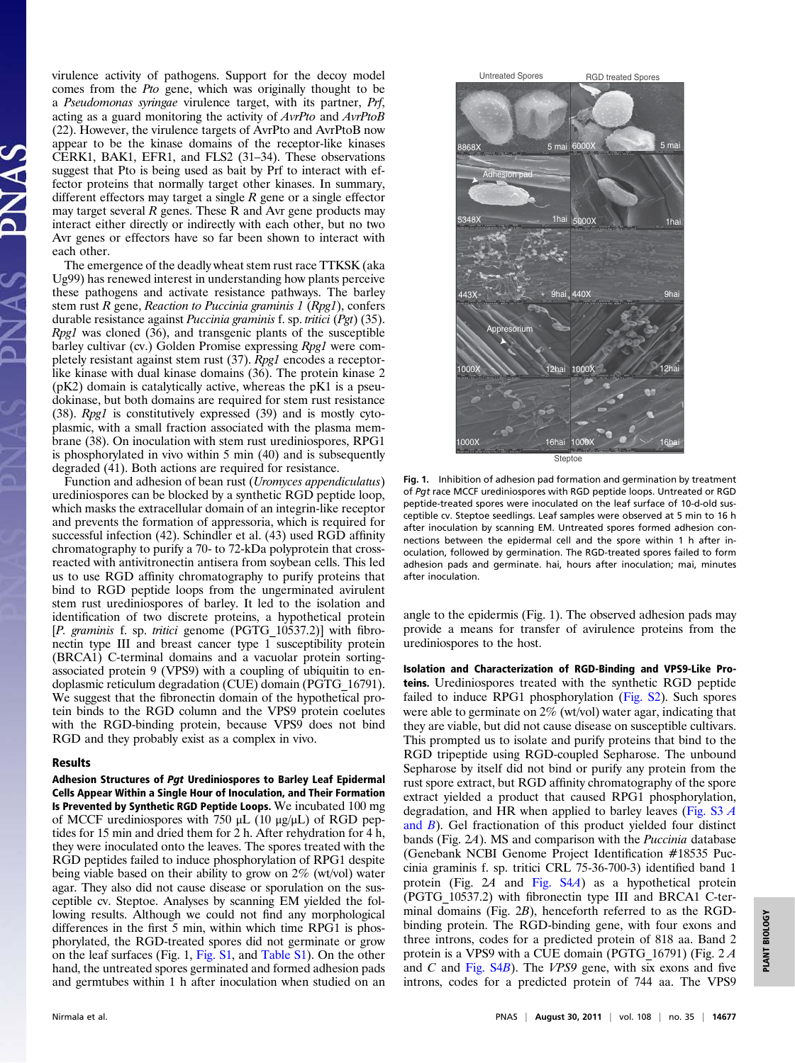virulence activity of pathogens. Support for the decoy model comes from the Pto gene, which was originally thought to be a Pseudomonas syringae virulence target, with its partner, Prf, acting as a guard monitoring the activity of AvrPto and AvrPtoB (22). However, the virulence targets of AvrPto and AvrPtoB now appear to be the kinase domains of the receptor-like kinases CERK1, BAK1, EFR1, and FLS2 (31–34). These observations suggest that Pto is being used as bait by Prf to interact with effector proteins that normally target other kinases. In summary, different effectors may target a single  $R$  gene or a single effector may target several  $R$  genes. These  $R$  and Avr gene products may interact either directly or indirectly with each other, but no two Avr genes or effectors have so far been shown to interact with each other.

The emergence of the deadly wheat stem rust race TTKSK (aka Ug99) has renewed interest in understanding how plants perceive these pathogens and activate resistance pathways. The barley stem rust  $R$  gene, Reaction to Puccinia graminis  $1$  (Rpg1), confers durable resistance against Puccinia graminis f. sp. tritici (Pgt) (35). Rpg1 was cloned (36), and transgenic plants of the susceptible barley cultivar (cv.) Golden Promise expressing Rpg1 were completely resistant against stem rust (37). Rpg1 encodes a receptorlike kinase with dual kinase domains (36). The protein kinase 2 (pK2) domain is catalytically active, whereas the pK1 is a pseudokinase, but both domains are required for stem rust resistance (38). Rpg1 is constitutively expressed (39) and is mostly cytoplasmic, with a small fraction associated with the plasma membrane (38). On inoculation with stem rust urediniospores, RPG1 is phosphorylated in vivo within 5 min (40) and is subsequently degraded (41). Both actions are required for resistance.

Function and adhesion of bean rust (Uromyces appendiculatus) urediniospores can be blocked by a synthetic RGD peptide loop, which masks the extracellular domain of an integrin-like receptor and prevents the formation of appressoria, which is required for successful infection (42). Schindler et al. (43) used RGD affinity chromatography to purify a 70- to 72-kDa polyprotein that crossreacted with antivitronectin antisera from soybean cells. This led us to use RGD affinity chromatography to purify proteins that bind to RGD peptide loops from the ungerminated avirulent stem rust urediniospores of barley. It led to the isolation and identification of two discrete proteins, a hypothetical protein [P. graminis f. sp. tritici genome (PGTG 10537.2)] with fibronectin type III and breast cancer type 1 susceptibility protein (BRCA1) C-terminal domains and a vacuolar protein sortingassociated protein 9 (VPS9) with a coupling of ubiquitin to endoplasmic reticulum degradation (CUE) domain (PGTG\_16791). We suggest that the fibronectin domain of the hypothetical protein binds to the RGD column and the VPS9 protein coelutes with the RGD-binding protein, because VPS9 does not bind RGD and they probably exist as a complex in vivo.

# Results

Adhesion Structures of Pgt Urediniospores to Barley Leaf Epidermal Cells Appear Within a Single Hour of Inoculation, and Their Formation Is Prevented by Synthetic RGD Peptide Loops. We incubated 100 mg of MCCF urediniospores with 750 μL (10 μg/μL) of RGD peptides for 15 min and dried them for 2 h. After rehydration for 4 h, they were inoculated onto the leaves. The spores treated with the RGD peptides failed to induce phosphorylation of RPG1 despite being viable based on their ability to grow on 2% (wt/vol) water agar. They also did not cause disease or sporulation on the susceptible cv. Steptoe. Analyses by scanning EM yielded the following results. Although we could not find any morphological differences in the first 5 min, within which time RPG1 is phosphorylated, the RGD-treated spores did not germinate or grow on the leaf surfaces (Fig. 1, [Fig. S1,](http://www.pnas.org/lookup/suppl/doi:10.1073/pnas.1111771108/-/DCSupplemental/pnas.201111771SI.pdf?targetid=nameddest=SF1) and [Table S1\)](http://www.pnas.org/lookup/suppl/doi:10.1073/pnas.1111771108/-/DCSupplemental/pnas.201111771SI.pdf?targetid=nameddest=ST1). On the other hand, the untreated spores germinated and formed adhesion pads and germtubes within 1 h after inoculation when studied on an



Fig. 1. Inhibition of adhesion pad formation and germination by treatment of Pgt race MCCF urediniospores with RGD peptide loops. Untreated or RGD peptide-treated spores were inoculated on the leaf surface of 10-d-old susceptible cv. Steptoe seedlings. Leaf samples were observed at 5 min to 16 h after inoculation by scanning EM. Untreated spores formed adhesion connections between the epidermal cell and the spore within 1 h after inoculation, followed by germination. The RGD-treated spores failed to form adhesion pads and germinate. hai, hours after inoculation; mai, minutes after inoculation.

angle to the epidermis (Fig. 1). The observed adhesion pads may provide a means for transfer of avirulence proteins from the urediniospores to the host.

Isolation and Characterization of RGD-Binding and VPS9-Like Proteins. Urediniospores treated with the synthetic RGD peptide failed to induce RPG1 phosphorylation ([Fig. S2](http://www.pnas.org/lookup/suppl/doi:10.1073/pnas.1111771108/-/DCSupplemental/pnas.201111771SI.pdf?targetid=nameddest=SF2)). Such spores were able to germinate on 2% (wt/vol) water agar, indicating that they are viable, but did not cause disease on susceptible cultivars. This prompted us to isolate and purify proteins that bind to the RGD tripeptide using RGD-coupled Sepharose. The unbound Sepharose by itself did not bind or purify any protein from the rust spore extract, but RGD affinity chromatography of the spore extract yielded a product that caused RPG1 phosphorylation, degradation, and HR when applied to barley leaves (Fig.  $S3A$ [and](http://www.pnas.org/lookup/suppl/doi:10.1073/pnas.1111771108/-/DCSupplemental/pnas.201111771SI.pdf?targetid=nameddest=SF3) B). Gel fractionation of this product yielded four distinct bands (Fig. 2A). MS and comparison with the Puccinia database (Genebank NCBI Genome Project Identification #18535 Puccinia graminis f. sp. tritici CRL 75-36-700-3) identified band 1 protein (Fig. 2A and [Fig. S4](http://www.pnas.org/lookup/suppl/doi:10.1073/pnas.1111771108/-/DCSupplemental/pnas.201111771SI.pdf?targetid=nameddest=SF4)A) as a hypothetical protein (PGTG\_10537.2) with fibronectin type III and BRCA1 C-terminal domains (Fig. 2B), henceforth referred to as the RGDbinding protein. The RGD-binding gene, with four exons and three introns, codes for a predicted protein of 818 aa. Band 2 protein is a VPS9 with a CUE domain (PGTG\_16791) (Fig. 2 A and  $C$  and Fig.  $S4B$ ). The *VPS9* gene, with six exons and five introns, codes for a predicted protein of 744 aa. The VPS9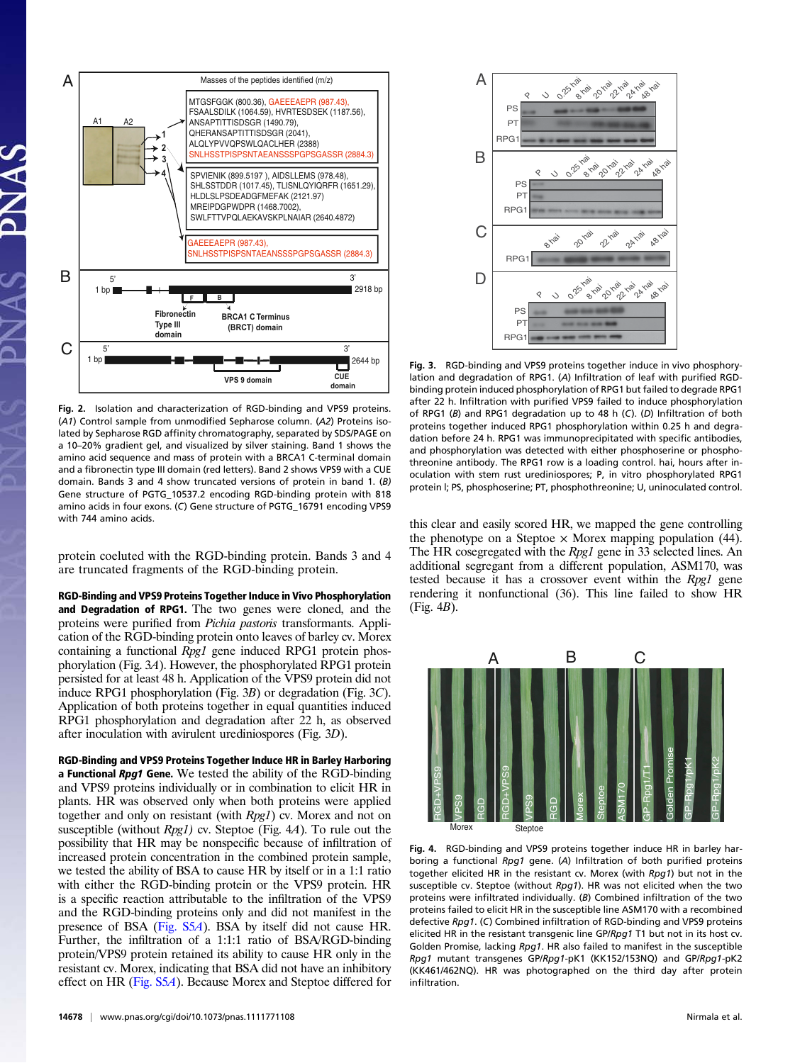

Fig. 2. Isolation and characterization of RGD-binding and VPS9 proteins. (A1) Control sample from unmodified Sepharose column. (A2) Proteins isolated by Sepharose RGD affinity chromatography, separated by SDS/PAGE on a 10–20% gradient gel, and visualized by silver staining. Band 1 shows the amino acid sequence and mass of protein with a BRCA1 C-terminal domain and a fibronectin type III domain (red letters). Band 2 shows VPS9 with a CUE domain. Bands 3 and 4 show truncated versions of protein in band 1. (B) Gene structure of PGTG\_10537.2 encoding RGD-binding protein with 818 amino acids in four exons. (C) Gene structure of PGTG\_16791 encoding VPS9 with 744 amino acids.

protein coeluted with the RGD-binding protein. Bands 3 and 4 are truncated fragments of the RGD-binding protein.

RGD-Binding and VPS9 Proteins Together Induce in Vivo Phosphorylation and Degradation of RPG1. The two genes were cloned, and the proteins were purified from Pichia pastoris transformants. Application of the RGD-binding protein onto leaves of barley cv. Morex containing a functional Rpg1 gene induced RPG1 protein phosphorylation (Fig. 3A). However, the phosphorylated RPG1 protein persisted for at least 48 h. Application of the VPS9 protein did not induce RPG1 phosphorylation (Fig. 3B) or degradation (Fig. 3C). Application of both proteins together in equal quantities induced RPG1 phosphorylation and degradation after 22 h, as observed after inoculation with avirulent urediniospores (Fig. 3D).

RGD-Binding and VPS9 Proteins Together Induce HR in Barley Harboring a Functional Rpg1 Gene. We tested the ability of the RGD-binding and VPS9 proteins individually or in combination to elicit HR in plants. HR was observed only when both proteins were applied together and only on resistant (with Rpg1) cv. Morex and not on susceptible (without Rpg1) cv. Steptoe (Fig. 4A). To rule out the possibility that HR may be nonspecific because of infiltration of increased protein concentration in the combined protein sample, we tested the ability of BSA to cause HR by itself or in a 1:1 ratio with either the RGD-binding protein or the VPS9 protein. HR is a specific reaction attributable to the infiltration of the VPS9 and the RGD-binding proteins only and did not manifest in the presence of BSA [\(Fig. S5](http://www.pnas.org/lookup/suppl/doi:10.1073/pnas.1111771108/-/DCSupplemental/pnas.201111771SI.pdf?targetid=nameddest=SF5)A). BSA by itself did not cause HR. Further, the infiltration of a 1:1:1 ratio of BSA/RGD-binding protein/VPS9 protein retained its ability to cause HR only in the resistant cv. Morex, indicating that BSA did not have an inhibitory effect on HR [\(Fig. S5](http://www.pnas.org/lookup/suppl/doi:10.1073/pnas.1111771108/-/DCSupplemental/pnas.201111771SI.pdf?targetid=nameddest=SF5)A). Because Morex and Steptoe differed for



Fig. 3. RGD-binding and VPS9 proteins together induce in vivo phosphorylation and degradation of RPG1. (A) Infiltration of leaf with purified RGDbinding protein induced phosphorylation of RPG1 but failed to degrade RPG1 after 22 h. Infiltration with purified VPS9 failed to induce phosphorylation of RPG1 (B) and RPG1 degradation up to 48 h (C). (D) Infiltration of both proteins together induced RPG1 phosphorylation within 0.25 h and degradation before 24 h. RPG1 was immunoprecipitated with specific antibodies, and phosphorylation was detected with either phosphoserine or phosphothreonine antibody. The RPG1 row is a loading control. hai, hours after inoculation with stem rust urediniospores; P, in vitro phosphorylated RPG1 protein l; PS, phosphoserine; PT, phosphothreonine; U, uninoculated control.

this clear and easily scored HR, we mapped the gene controlling the phenotype on a Steptoe  $\times$  Morex mapping population (44). The HR cosegregated with the *Rpg1* gene in 33 selected lines. An additional segregant from a different population, ASM170, was tested because it has a crossover event within the Rpg1 gene rendering it nonfunctional (36). This line failed to show HR (Fig. 4B).



Fig. 4. RGD-binding and VPS9 proteins together induce HR in barley harboring a functional Rpg1 gene. (A) Infiltration of both purified proteins together elicited HR in the resistant cv. Morex (with Rpg1) but not in the susceptible cv. Steptoe (without Rpg1). HR was not elicited when the two proteins were infiltrated individually. (B) Combined infiltration of the two proteins failed to elicit HR in the susceptible line ASM170 with a recombined defective Rpg1. (C) Combined infiltration of RGD-binding and VPS9 proteins elicited HR in the resistant transgenic line GP/Rpg1 T1 but not in its host cv. Golden Promise, lacking Rpg1. HR also failed to manifest in the susceptible Rpg1 mutant transgenes GP/Rpg1-pK1 (KK152/153NQ) and GP/Rpg1-pK2 (KK461/462NQ). HR was photographed on the third day after protein infiltration.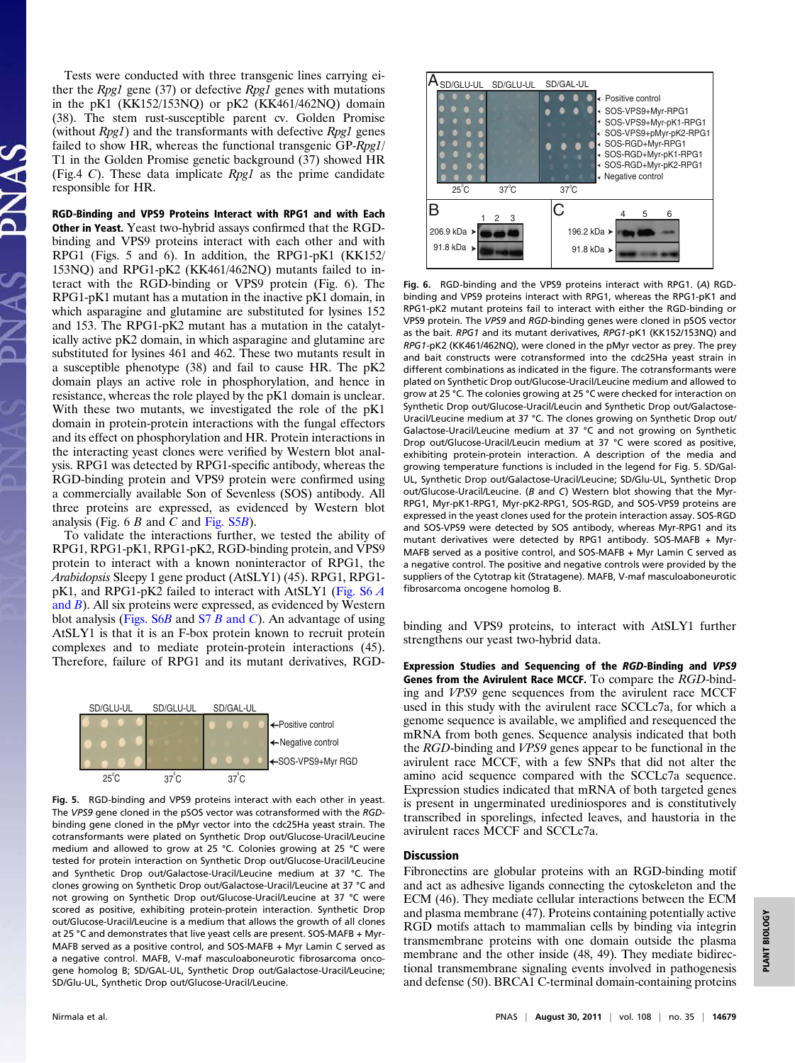Tests were conducted with three transgenic lines carrying either the Rpg1 gene  $(37)$  or defective Rpg1 genes with mutations in the pK1 (KK152/153NQ) or pK2 (KK461/462NQ) domain (38). The stem rust-susceptible parent cv. Golden Promise (without  $Rpg1$ ) and the transformants with defective  $Rpg1$  genes failed to show HR, whereas the functional transgenic GP-Rpg1/ T1 in the Golden Promise genetic background (37) showed HR (Fig.4 C). These data implicate  $Rpg1$  as the prime candidate responsible for HR.

RGD-Binding and VPS9 Proteins Interact with RPG1 and with Each Other in Yeast. Yeast two-hybrid assays confirmed that the RGDbinding and VPS9 proteins interact with each other and with RPG1 (Figs. 5 and 6). In addition, the RPG1-pK1 (KK152/ 153NQ) and RPG1-pK2 (KK461/462NQ) mutants failed to interact with the RGD-binding or VPS9 protein (Fig. 6). The RPG1-pK1 mutant has a mutation in the inactive pK1 domain, in which asparagine and glutamine are substituted for lysines 152 and 153. The RPG1-pK2 mutant has a mutation in the catalytically active pK2 domain, in which asparagine and glutamine are substituted for lysines 461 and 462. These two mutants result in a susceptible phenotype (38) and fail to cause HR. The pK2 domain plays an active role in phosphorylation, and hence in resistance, whereas the role played by the pK1 domain is unclear. With these two mutants, we investigated the role of the pK1 domain in protein-protein interactions with the fungal effectors and its effect on phosphorylation and HR. Protein interactions in the interacting yeast clones were verified by Western blot analysis. RPG1 was detected by RPG1-specific antibody, whereas the RGD-binding protein and VPS9 protein were confirmed using a commercially available Son of Sevenless (SOS) antibody. All three proteins are expressed, as evidenced by Western blot analysis (Fig.  $6 B$  and C and [Fig. S5](http://www.pnas.org/lookup/suppl/doi:10.1073/pnas.1111771108/-/DCSupplemental/pnas.201111771SI.pdf?targetid=nameddest=SF5)B).

To validate the interactions further, we tested the ability of RPG1, RPG1-pK1, RPG1-pK2, RGD-binding protein, and VPS9 protein to interact with a known noninteractor of RPG1, the Arabidopsis Sleepy 1 gene product (AtSLY1) (45). RPG1, RPG1 pK1, and RPG1-pK2 failed to interact with AtSLY1 [\(Fig. S6](http://www.pnas.org/lookup/suppl/doi:10.1073/pnas.1111771108/-/DCSupplemental/pnas.201111771SI.pdf?targetid=nameddest=SF6) A [and](http://www.pnas.org/lookup/suppl/doi:10.1073/pnas.1111771108/-/DCSupplemental/pnas.201111771SI.pdf?targetid=nameddest=SF6)  $B$ ). All six proteins were expressed, as evidenced by Western blot analysis (Figs.  $S6B$  [and](http://www.pnas.org/lookup/suppl/doi:10.1073/pnas.1111771108/-/DCSupplemental/pnas.201111771SI.pdf?targetid=nameddest=SF7)  $S7B$  and C). An advantage of using AtSLY1 is that it is an F-box protein known to recruit protein complexes and to mediate protein-protein interactions (45). Therefore, failure of RPG1 and its mutant derivatives, RGD-



Fig. 5. RGD-binding and VPS9 proteins interact with each other in yeast. The VPS9 gene cloned in the pSOS vector was cotransformed with the RGDbinding gene cloned in the pMyr vector into the cdc25Ha yeast strain. The cotransformants were plated on Synthetic Drop out/Glucose-Uracil/Leucine medium and allowed to grow at 25 °C. Colonies growing at 25 °C were tested for protein interaction on Synthetic Drop out/Glucose-Uracil/Leucine and Synthetic Drop out/Galactose-Uracil/Leucine medium at 37 °C. The clones growing on Synthetic Drop out/Galactose-Uracil/Leucine at 37 °C and not growing on Synthetic Drop out/Glucose-Uracil/Leucine at 37 °C were scored as positive, exhibiting protein-protein interaction. Synthetic Drop out/Glucose-Uracil/Leucine is a medium that allows the growth of all clones at 25 °C and demonstrates that live yeast cells are present. SOS-MAFB + Myr-MAFB served as a positive control, and SOS-MAFB + Myr Lamin C served as a negative control. MAFB, V-maf masculoaboneurotic fibrosarcoma oncogene homolog B; SD/GAL-UL, Synthetic Drop out/Galactose-Uracil/Leucine; SD/Glu-UL, Synthetic Drop out/Glucose-Uracil/Leucine.



Fig. 6. RGD-binding and the VPS9 proteins interact with RPG1. (A) RGDbinding and VPS9 proteins interact with RPG1, whereas the RPG1-pK1 and RPG1-pK2 mutant proteins fail to interact with either the RGD-binding or VPS9 protein. The VPS9 and RGD-binding genes were cloned in pSOS vector as the bait. RPG1 and its mutant derivatives, RPG1-pK1 (KK152/153NQ) and RPG1-pK2 (KK461/462NQ), were cloned in the pMyr vector as prey. The prey and bait constructs were cotransformed into the cdc25Ha yeast strain in different combinations as indicated in the figure. The cotransformants were plated on Synthetic Drop out/Glucose-Uracil/Leucine medium and allowed to grow at 25 °C. The colonies growing at 25 °C were checked for interaction on Synthetic Drop out/Glucose-Uracil/Leucin and Synthetic Drop out/Galactose-Uracil/Leucine medium at 37 °C. The clones growing on Synthetic Drop out/ Galactose-Uracil/Leucine medium at 37 °C and not growing on Synthetic Drop out/Glucose-Uracil/Leucin medium at 37 °C were scored as positive, exhibiting protein-protein interaction. A description of the media and growing temperature functions is included in the legend for Fig. 5. SD/Gal-UL, Synthetic Drop out/Galactose-Uracil/Leucine; SD/Glu-UL, Synthetic Drop out/Glucose-Uracil/Leucine. (B and C) Western blot showing that the Myr-RPG1, Myr-pK1-RPG1, Myr-pK2-RPG1, SOS-RGD, and SOS-VPS9 proteins are expressed in the yeast clones used for the protein interaction assay. SOS-RGD and SOS-VPS9 were detected by SOS antibody, whereas Myr-RPG1 and its mutant derivatives were detected by RPG1 antibody. SOS-MAFB + Myr-MAFB served as a positive control, and SOS-MAFB + Myr Lamin C served as a negative control. The positive and negative controls were provided by the suppliers of the Cytotrap kit (Stratagene). MAFB, V-maf masculoaboneurotic fibrosarcoma oncogene homolog B.

binding and VPS9 proteins, to interact with AtSLY1 further strengthens our yeast two-hybrid data.

Expression Studies and Sequencing of the RGD-Binding and VPS9 Genes from the Avirulent Race MCCF. To compare the RGD-binding and VPS9 gene sequences from the avirulent race MCCF used in this study with the avirulent race SCCLc7a, for which a genome sequence is available, we amplified and resequenced the mRNA from both genes. Sequence analysis indicated that both the RGD-binding and VPS9 genes appear to be functional in the avirulent race MCCF, with a few SNPs that did not alter the amino acid sequence compared with the SCCLc7a sequence. Expression studies indicated that mRNA of both targeted genes is present in ungerminated urediniospores and is constitutively transcribed in sporelings, infected leaves, and haustoria in the avirulent races MCCF and SCCLc7a.

# Discussion

Fibronectins are globular proteins with an RGD-binding motif and act as adhesive ligands connecting the cytoskeleton and the ECM (46). They mediate cellular interactions between the ECM and plasma membrane (47). Proteins containing potentially active RGD motifs attach to mammalian cells by binding via integrin transmembrane proteins with one domain outside the plasma membrane and the other inside (48, 49). They mediate bidirectional transmembrane signaling events involved in pathogenesis and defense (50). BRCA1 C-terminal domain-containing proteins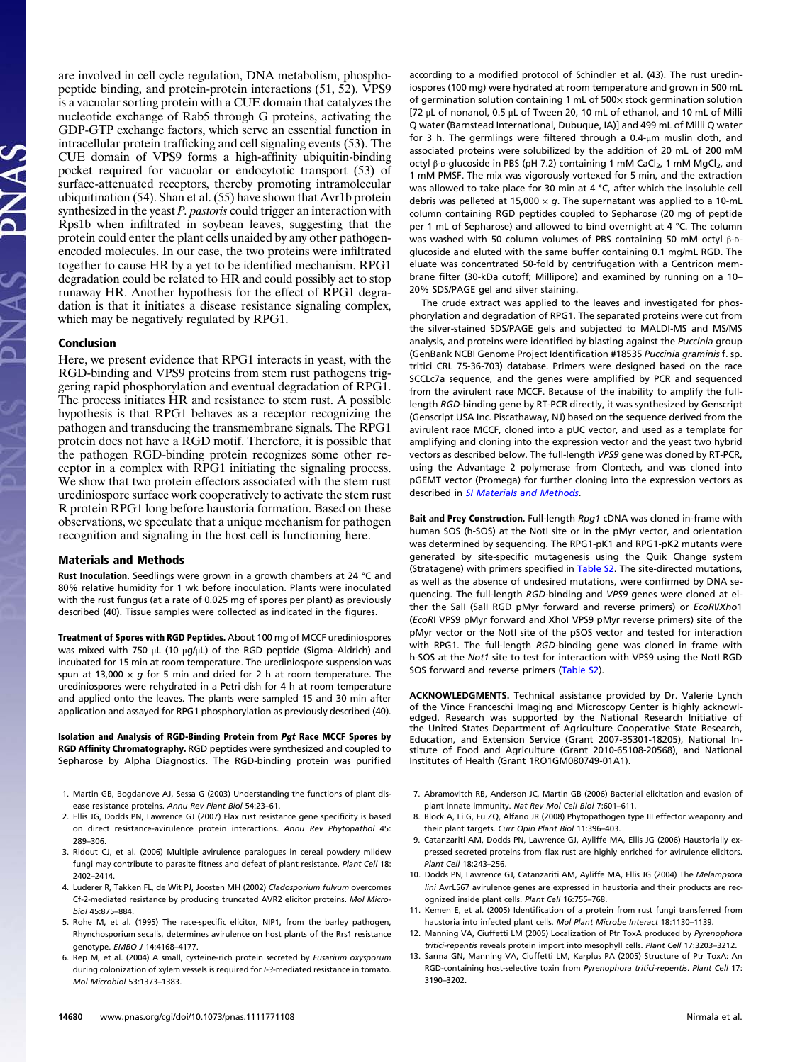are involved in cell cycle regulation, DNA metabolism, phosphopeptide binding, and protein-protein interactions (51, 52). VPS9 is a vacuolar sorting protein with a CUE domain that catalyzes the nucleotide exchange of Rab5 through G proteins, activating the GDP-GTP exchange factors, which serve an essential function in intracellular protein trafficking and cell signaling events (53). The CUE domain of VPS9 forms a high-affinity ubiquitin-binding pocket required for vacuolar or endocytotic transport (53) of surface-attenuated receptors, thereby promoting intramolecular ubiquitination (54). Shan et al. (55) have shown that Avr1b protein synthesized in the yeast P. pastoris could trigger an interaction with Rps1b when infiltrated in soybean leaves, suggesting that the protein could enter the plant cells unaided by any other pathogenencoded molecules. In our case, the two proteins were infiltrated together to cause HR by a yet to be identified mechanism. RPG1 degradation could be related to HR and could possibly act to stop runaway HR. Another hypothesis for the effect of RPG1 degradation is that it initiates a disease resistance signaling complex, which may be negatively regulated by RPG1.

# Conclusion

Here, we present evidence that RPG1 interacts in yeast, with the RGD-binding and VPS9 proteins from stem rust pathogens triggering rapid phosphorylation and eventual degradation of RPG1. The process initiates HR and resistance to stem rust. A possible hypothesis is that RPG1 behaves as a receptor recognizing the pathogen and transducing the transmembrane signals. The RPG1 protein does not have a RGD motif. Therefore, it is possible that the pathogen RGD-binding protein recognizes some other receptor in a complex with RPG1 initiating the signaling process. We show that two protein effectors associated with the stem rust urediniospore surface work cooperatively to activate the stem rust R protein RPG1 long before haustoria formation. Based on these observations, we speculate that a unique mechanism for pathogen recognition and signaling in the host cell is functioning here.

# Materials and Methods

Rust Inoculation. Seedlings were grown in a growth chambers at 24 °C and 80% relative humidity for 1 wk before inoculation. Plants were inoculated with the rust fungus (at a rate of 0.025 mg of spores per plant) as previously described (40). Tissue samples were collected as indicated in the figures.

Treatment of Spores with RGD Peptides. About 100 mg of MCCF urediniospores was mixed with 750 μL (10 μg/μL) of the RGD peptide (Sigma–Aldrich) and incubated for 15 min at room temperature. The urediniospore suspension was spun at 13,000  $\times$  g for 5 min and dried for 2 h at room temperature. The urediniospores were rehydrated in a Petri dish for 4 h at room temperature and applied onto the leaves. The plants were sampled 15 and 30 min after application and assayed for RPG1 phosphorylation as previously described (40).

Isolation and Analysis of RGD-Binding Protein from Pgt Race MCCF Spores by RGD Affinity Chromatography. RGD peptides were synthesized and coupled to Sepharose by Alpha Diagnostics. The RGD-binding protein was purified

- 1. Martin GB, Bogdanove AJ, Sessa G (2003) Understanding the functions of plant disease resistance proteins. Annu Rev Plant Biol 54:23–61.
- 2. Ellis JG, Dodds PN, Lawrence GJ (2007) Flax rust resistance gene specificity is based on direct resistance-avirulence protein interactions. Annu Rev Phytopathol 45: 289–306.
- 3. Ridout CJ, et al. (2006) Multiple avirulence paralogues in cereal powdery mildew fungi may contribute to parasite fitness and defeat of plant resistance. Plant Cell 18: 2402–2414.
- 4. Luderer R, Takken FL, de Wit PJ, Joosten MH (2002) Cladosporium fulvum overcomes Cf-2-mediated resistance by producing truncated AVR2 elicitor proteins. Mol Microbiol 45:875–884.
- 5. Rohe M, et al. (1995) The race-specific elicitor, NIP1, from the barley pathogen, Rhynchosporium secalis, determines avirulence on host plants of the Rrs1 resistance genotype. EMBO J 14:4168–4177.
- 6. Rep M, et al. (2004) A small, cysteine-rich protein secreted by Fusarium oxysporum during colonization of xylem vessels is required for I-3-mediated resistance in tomato. Mol Microbiol 53:1373–1383.

according to a modified protocol of Schindler et al. (43). The rust urediniospores (100 mg) were hydrated at room temperature and grown in 500 mL of germination solution containing 1 mL of 500× stock germination solution [72 μL of nonanol, 0.5 μL of Tween 20, 10 mL of ethanol, and 10 mL of Milli Q water (Barnstead International, Dubuque, IA)] and 499 mL of Milli Q water for 3 h. The germlings were filtered through a 0.4-μm muslin cloth, and associated proteins were solubilized by the addition of 20 mL of 200 mM octyl β-D-glucoside in PBS (pH 7.2) containing 1 mM CaCl<sub>2</sub>, 1 mM MgCl<sub>2</sub>, and 1 mM PMSF. The mix was vigorously vortexed for 5 min, and the extraction was allowed to take place for 30 min at 4 °C, after which the insoluble cell debris was pelleted at 15,000  $\times$  g. The supernatant was applied to a 10-mL column containing RGD peptides coupled to Sepharose (20 mg of peptide per 1 mL of Sepharose) and allowed to bind overnight at 4 °C. The column was washed with 50 column volumes of PBS containing 50 mM octyl β-Dglucoside and eluted with the same buffer containing 0.1 mg/mL RGD. The eluate was concentrated 50-fold by centrifugation with a Centricon membrane filter (30-kDa cutoff; Millipore) and examined by running on a 10– 20% SDS/PAGE gel and silver staining.

The crude extract was applied to the leaves and investigated for phosphorylation and degradation of RPG1. The separated proteins were cut from the silver-stained SDS/PAGE gels and subjected to MALDI-MS and MS/MS analysis, and proteins were identified by blasting against the Puccinia group (GenBank NCBI Genome Project Identification #18535 Puccinia graminis f. sp. tritici CRL 75-36-703) database. Primers were designed based on the race SCCLc7a sequence, and the genes were amplified by PCR and sequenced from the avirulent race MCCF. Because of the inability to amplify the fulllength RGD-binding gene by RT-PCR directly, it was synthesized by Genscript (Genscript USA Inc. Piscathaway, NJ) based on the sequence derived from the avirulent race MCCF, cloned into a pUC vector, and used as a template for amplifying and cloning into the expression vector and the yeast two hybrid vectors as described below. The full-length VPS9 gene was cloned by RT-PCR, using the Advantage 2 polymerase from Clontech, and was cloned into pGEMT vector (Promega) for further cloning into the expression vectors as described in [SI Materials and Methods](http://www.pnas.org/lookup/suppl/doi:10.1073/pnas.1111771108/-/DCSupplemental/pnas.201111771SI.pdf?targetid=nameddest=STXT).

Bait and Prey Construction. Full-length Rpg1 cDNA was cloned in-frame with human SOS (h-SOS) at the NotI site or in the pMyr vector, and orientation was determined by sequencing. The RPG1-pK1 and RPG1-pK2 mutants were generated by site-specific mutagenesis using the Quik Change system (Stratagene) with primers specified in [Table S2](http://www.pnas.org/lookup/suppl/doi:10.1073/pnas.1111771108/-/DCSupplemental/pnas.201111771SI.pdf?targetid=nameddest=ST2). The site-directed mutations, as well as the absence of undesired mutations, were confirmed by DNA sequencing. The full-length RGD-binding and VPS9 genes were cloned at either the SalI (SalI RGD pMyr forward and reverse primers) or EcoRI/Xho1 (EcoRI VPS9 pMyr forward and XhoI VPS9 pMyr reverse primers) site of the pMyr vector or the NotI site of the pSOS vector and tested for interaction with RPG1. The full-length RGD-binding gene was cloned in frame with h-SOS at the Not1 site to test for interaction with VPS9 using the NotI RGD SOS forward and reverse primers [\(Table S2\)](http://www.pnas.org/lookup/suppl/doi:10.1073/pnas.1111771108/-/DCSupplemental/pnas.201111771SI.pdf?targetid=nameddest=ST2).

ACKNOWLEDGMENTS. Technical assistance provided by Dr. Valerie Lynch of the Vince Franceschi Imaging and Microscopy Center is highly acknowledged. Research was supported by the National Research Initiative of the United States Department of Agriculture Cooperative State Research, Education, and Extension Service (Grant 2007-35301-18205), National Institute of Food and Agriculture (Grant 2010-65108-20568), and National Institutes of Health (Grant 1RO1GM080749-01A1).

- 7. Abramovitch RB, Anderson JC, Martin GB (2006) Bacterial elicitation and evasion of plant innate immunity. Nat Rev Mol Cell Biol 7:601–611.
- 8. Block A, Li G, Fu ZQ, Alfano JR (2008) Phytopathogen type III effector weaponry and their plant targets. Curr Opin Plant Biol 11:396–403.
- 9. Catanzariti AM, Dodds PN, Lawrence GJ, Ayliffe MA, Ellis JG (2006) Haustorially expressed secreted proteins from flax rust are highly enriched for avirulence elicitors. Plant Cell 18:243–256.
- 10. Dodds PN, Lawrence GJ, Catanzariti AM, Ayliffe MA, Ellis JG (2004) The Melampsora lini AvrL567 avirulence genes are expressed in haustoria and their products are recognized inside plant cells. Plant Cell 16:755–768.
- 11. Kemen E, et al. (2005) Identification of a protein from rust fungi transferred from haustoria into infected plant cells. Mol Plant Microbe Interact 18:1130–1139.
- 12. Manning VA, Ciuffetti LM (2005) Localization of Ptr ToxA produced by Pyrenophora tritici-repentis reveals protein import into mesophyll cells. Plant Cell 17:3203–3212.
- 13. Sarma GN, Manning VA, Ciuffetti LM, Karplus PA (2005) Structure of Ptr ToxA: An RGD-containing host-selective toxin from Pyrenophora tritici-repentis. Plant Cell 17: 3190–3202.